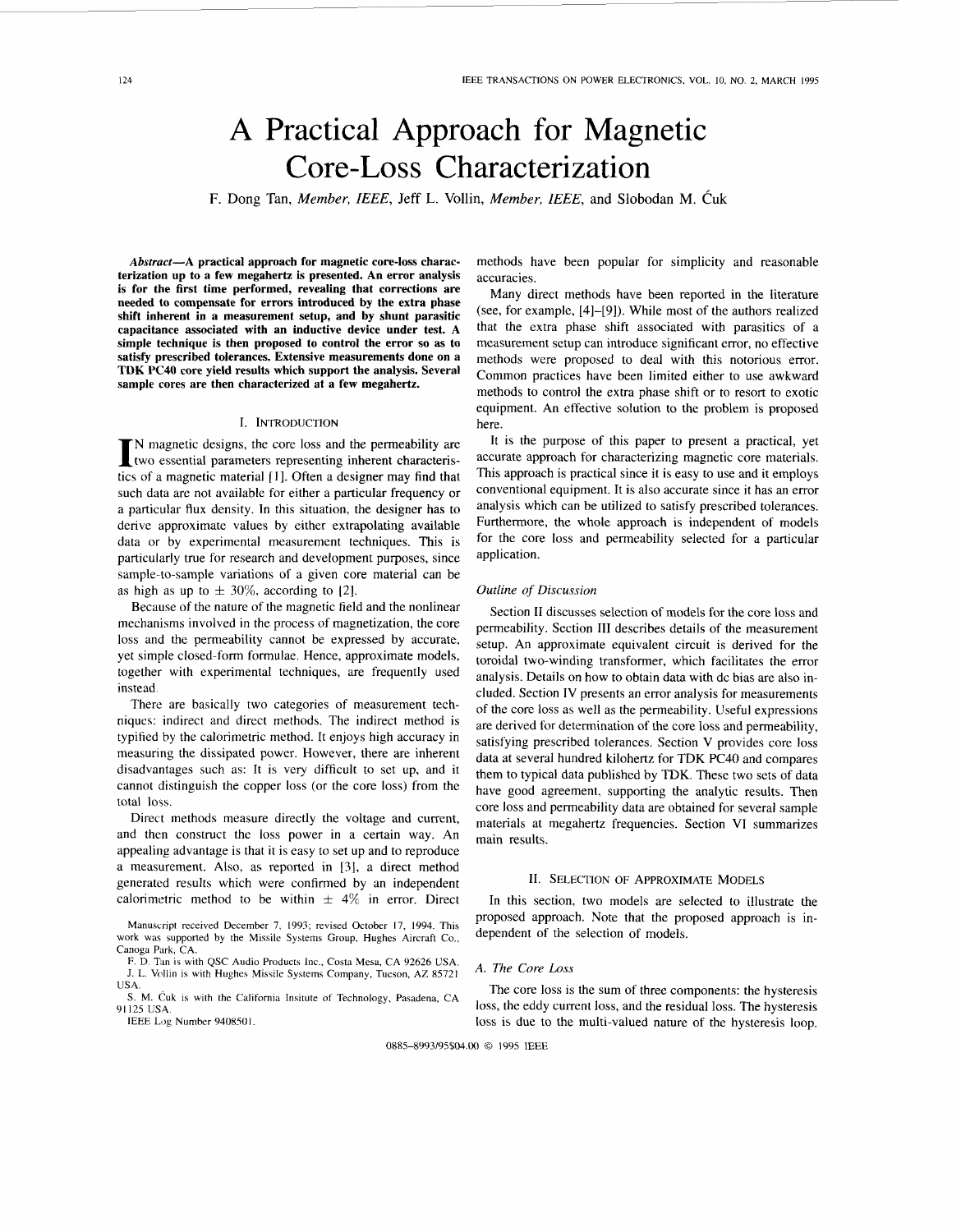# A Practical Approach for Magnetic Core-Loss Characterization

**F.** Dong Tan, *Member, IEEE,* **Jeff** L. Vollin, *Member, IEEE,* and Slobodan M. Cuk

**Abstract-A practical approach for magnetic core-loss characterization up to a few megahertz is presented. An error analysis is for the first time performed, revealing that corrections are needed to compensate for errors introduced by the extra phase shift inherent in a measurement setup, and by shunt parasitic capacitance associated with an inductive device under test. A simple technique is then proposed to control the error so as to satisfy prescribed tolerances. Extensive measurements done on a TDK PC40 core yield results which support the analysis. Several sample cores are then characterized at a few megahertz.** 

# I. INTRODUCTION

N magnetic designs, the core loss and the permeability are **I** two essential parameters representing inherent characteristics of a magnetic material [I]. Often a designer may find that such data are not available for either a particular frequency or a particular flux density. In this situation, the designer has to derive approximate values by either extrapolating available data or by experimental measurement techniques. This is particularly true for research and development purposes, since sample-to-sample variations of a given core material can be as high as up to  $\pm$  30%, according to (2].

Because of the nature of the magnetic field and the nonlinear mechanisms involved in the process **of** magnetization, the core loss and the permeability cannot be expressed by accurate, yet simple closed-form formulae. Hence, approximate models, together with experimental techniques, are frequently used instead.

There are basically two categories of measurement techniques: indirect and direct methods. The indirect method is typified by the calorimetric method. It enjoys high accuracy in measuring the dissipated power. However, there are inherent disadvantages such as: It is very difficult to set up, and it cannot distinguish the copper loss (or the core loss) from the total loss.

Direct methods measure directly the voltage and current, and then construct the loss power in a certain way. An appealing advantage is that it is easy to set up and to reproduce a measurement. **Also,** as reported in *[3],* a direct method generated results which were confirmed by an independent calorimetric method to be within  $\pm$  4% in error. Direct

Manuscript received December 7, 1993; revised October 17, 1994. This work was supported by the Missile Systems Group, Hughes Aircraft Co., Canoga Park, CA.

**F.** D. Tan is with QSC Audio Products Inc., Costa Mesa, CA 92626 **USA.**  J. L. Vollin is with Hughes Missile Systems Company, Tucson, A2 85721 USA.

*S.* M. **Cuk** is with the California Insitute of Technology, Pasadena, CA 91 125 USA.

IEEE Log Number 940850 I.

methods have been popular for simplicity and reasonable accuracies.

Many direct methods have been reported in the literature (see, for example, [4]-[9]). While most of the authors realized that the extra phase shift associated with parasitics of a measurement setup can introduce significant error, no effective methods were proposed to deal with this notorious error. Common practices have been limited either to use awkward methods to control the extra phase shift or to resort to exotic equipment. An effective solution to the problem is proposed here.

It is the purpose of this paper to present a practical, yet accurate approach for characterizing magnetic core materials. This approach is practical since it is easy to use and it employs conventional equipment. It is also accurate since it has an error analysis which can be utilized to satisfy prescribed tolerances. Furthermore, the whole approach is independent **of** models for the core loss and permeability selected for a particular application.

# *Outline of Discussion*

Section I1 discusses selection of models for the core loss and permeability. Section **111** describes details of the measurement setup. An approximate equivalent circuit is derived for the toroidal two-winding transformer, which facilitates the error analysis. Details on how to obtain data with dc bias are also included. Section IV presents an error analysis for measurements of the core loss as well as the permeability. Useful expressions are derived for determination of the core loss and permeability, satisfying prescribed tolerances. Section V provides core loss data at several hundred kilohertz for TDK PC40 and compares them to typical data published by TDK. These two sets of data have good agreement, supporting the analytic results. Then core loss and permeability data are obtained for several sample materials at megahertz frequencies. Section VI summarizes main results.

## **11.** SELECTION OF **APPROXIMATE** MODELS

In this section, two models are selected to illustrate the proposed approach. Note that the proposed approach is independent of the selection of models,

## *A. The Core Loss*

The core loss is the sum of three components: the hysteresis loss, the eddy current loss, and the residual loss. The hysteresis loss is due to the multi-valued nature of the hysteresis loop.

0885-8993/95\$04.00 *0* 1995 IEEE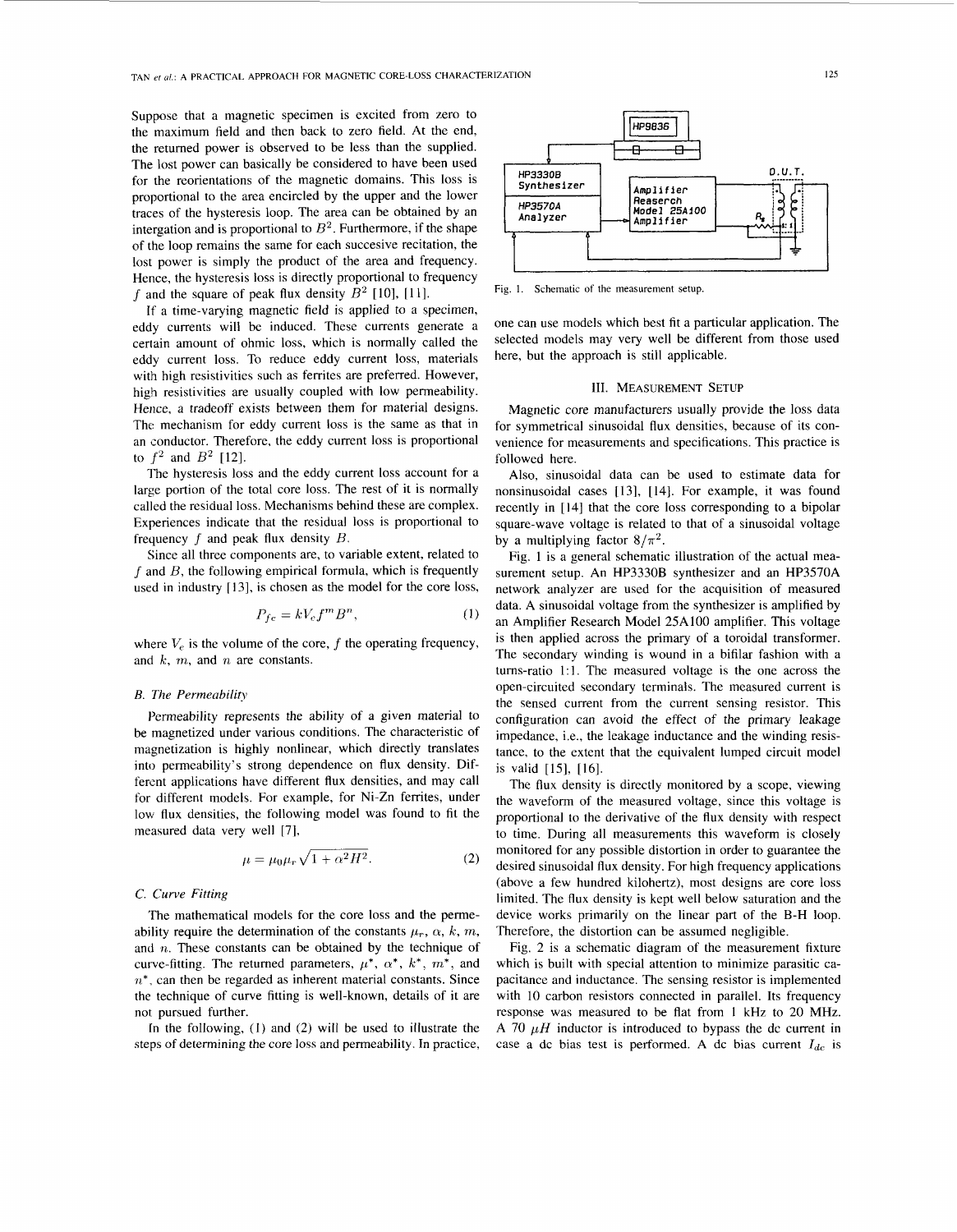Suppose that **a** magnetic specimen is excited from zero to the maximum field and then back to zero field. At the end, the returned power is observed to be less than the supplied. The lost power can basically be considered to have been used for the reorientations of the magnetic domains. This loss is proportional to the area encircled by the upper and the lower traces of the hysteresis loop. The area can be obtained by an intergation and is proportional to  $B<sup>2</sup>$ . Furthermore, if the shape of the loop remains the same for each succesive recitation, the lost power is simply the product of the area and frequency. Hence, the hysteresis loss is directly proportional to frequency  $f$  and the square of peak flux density  $B^2$  [10], [11].

If a time-varying magnetic field is applied to a specimen, eddy currents will be induced. These currents generate a certain amount of ohmic loss, which is normally called the eddy current loss. To reduce eddy current loss, materials with high resistivities such as ferrites are preferred. However, high resistivities are usually coupled with low permeability. Hence, a tradeoff exists between them for material designs. The mechanism for eddy current loss is the same as that in an (conductor. Therefore, the eddy current loss is proportional to  $f^2$  and  $B^2$  [12].

The hysteresis loss and the eddy current loss account for a large portion of the total core loss. The rest of it is normally called the residual loss. Mechanisms behind these are complex. Experiences indicate that the residual loss is proportional to frequency *f* and peak flux density *B.* 

Since all three components are, to variable extent, related to *f* and B, the following empirical formula, which is frequently used in industry [13], is chosen as the model for the core loss,

$$
P_{fe} = kV_e f^m B^n,\tag{1}
$$

where  $V_e$  is the volume of the core,  $f$  the operating frequency, and *k*, *m*, and *n* are constants.

## *B. The Permeability*

Permeability represents the ability of a given material to be magnetized under various conditions. The characteristic of magnetization is highly nonlinear, which directly translates into permeability's strong dependence on flux density. Different applications have different flux densities, and may call for different models. For example, for Ni-Zn ferrites, under low flux densities, the following model was found to fit the measured data very well *[7],* 

$$
\mu = \mu_0 \mu_r \sqrt{1 + \alpha^2 H^2}.
$$
 (2)

# C. *Curve Fitting*

The mathematical models for the core loss and the permeability require the determination of the constants  $\mu_r$ ,  $\alpha$ ,  $k$ ,  $m$ , and *ri.* These constants can be obtained by the technique of curve-fitting. The returned parameters,  $\mu^*$ ,  $\alpha^*$ ,  $k^*$ ,  $m^*$ , and  $n^*$ , can then be regarded as inherent material constants. Since the technique of curve fitting is well-known, details of it are not pursued further.

In the following, **(1)** and *(2)* will be used to illustrate the steps of determining the core loss and permeability. In practice,



**Fig.** 1. **Schematic of the** measurement **setup.** 

one can use models which best fit a particular application. The selected models may very well be different from those used here, but the approach is still applicable.

# 111. MEASUREMENT **SETUP**

Magnetic core manufacturers usually provide the loss data for symmetrical sinusoidal flux densities, because of its convenience for measurements and specifications. This practice is followed here.

Also, sinusoidal data can be used to estimate data for nonsinusoidal cases [13], [14]. For example, it was found recently in [14] that the core loss corresponding to a bipolar square-wave voltage is related to that of a sinusoidal voltage by a multiplying factor  $8/\pi^2$ .

Fig. 1 is a general schematic illustration of the actual measurement setup. An HP3330B synthesizer and an HP3570A network analyzer are used for the acquisition of measured data. A sinusoidal voltage from the synthesizer is amplified by an Amplifier Research Model 25A100 amplifier. This voltage is then applied across the primary of a toroidal transformer. The secondary winding is wound in a bifilar fashion with a turns-ratio 1:1. The measured voltage is the one across the open-circuited secondary terminals. The measured current is the sensed current from the current sensing resistor. This configuration can avoid the effect of the primary leakage impedance, i.e., the leakage inductance and the winding resistance, to the extent that the equivalent lumped circuit model is valid **[15], [16].** 

The flux density is directly monitored by a scope, viewing the waveform of the measured voltage, since this voltage is proportional to the derivative of the flux density with respect to time. During all measurements this waveform is closely monitored for any possible distortion in order to guarantee the desired sinusoidal flux density. For high frequency applications (above a few hundred kilohertz), most designs are core loss limited. The flux density is kept well below saturation and the device works primarily on the linear part of the B-H loop. Therefore, the distortion can be assumed negligible.

[Fig. 2](#page-2-0) is a schematic diagram of the measurement fixture which is built with special attention to minimize parasitic capacitance and inductance. The sensing resistor is implemented with 10 carbon resistors connected in parallel. Its frequency response was measured to be flat from I kHz to 20 MHz. A 70  $\mu$ *H* inductor is introduced to bypass the dc current in case a dc bias test is performed. A dc bias current  $I_{dc}$  is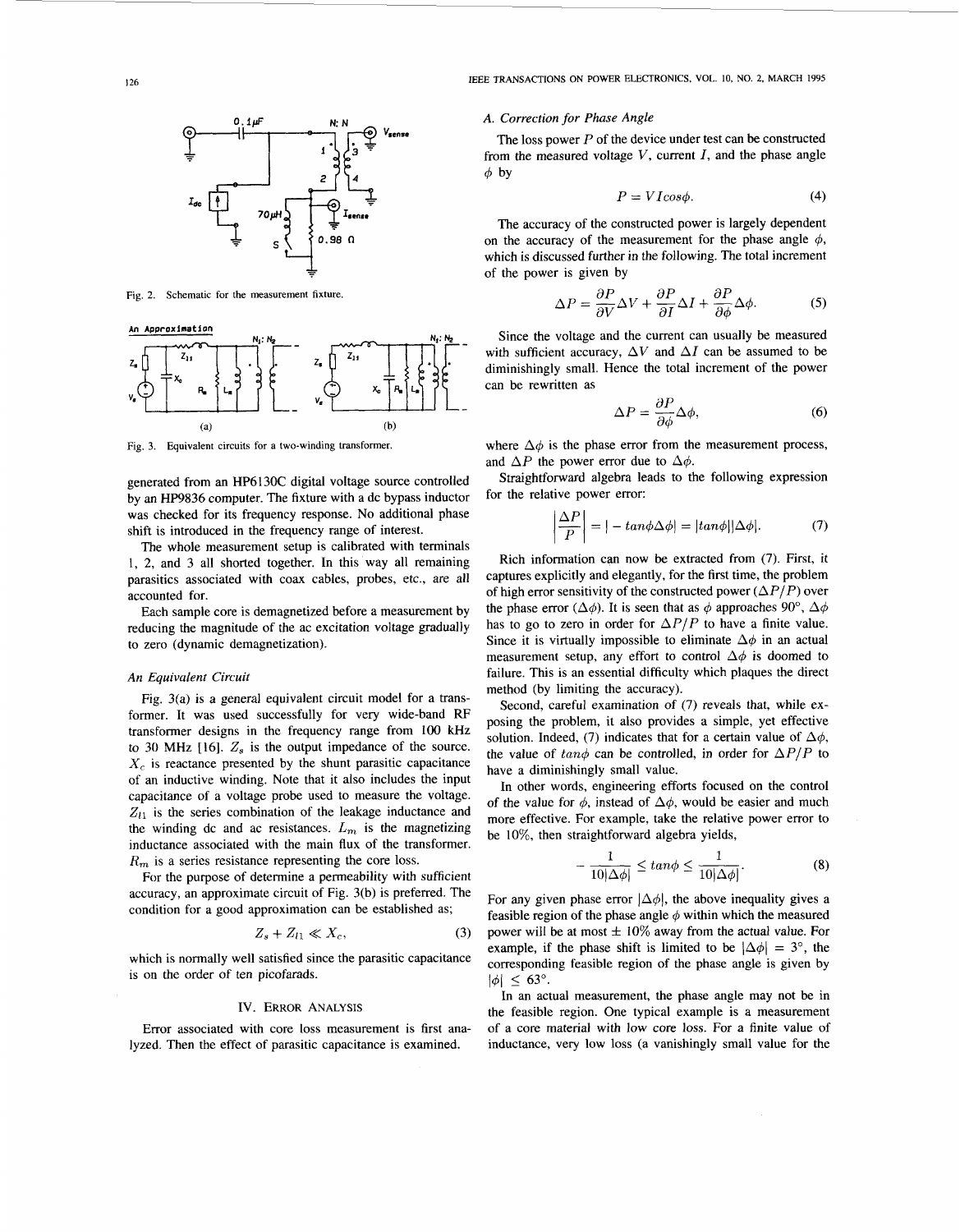

**Fig.** *2.* **Schematic for the measurement fixture.** 

**An Approximation** 



Fig. **3. Equivalent circuits for a two-winding transformer.** 

generated from **an** HP6130C digital voltage source controlled by an **HP9836** computer. The fixture with a dc bypass inductor was checked for its frequency response. No additional phase shift is introduced in the frequency range of interest.

The whole measurement setup is calibrated with terminals 1, **2,** and 3 all shorted together. In this way all remaining parasitics associated with coax cables, probes, etc., are all accounted for.

Each sample core is demagnetized before a measurement by reducing the magnitude of the ac excitation voltage gradually to zero (dynamic demagnetization).

#### *An Equivalent Circuit*

Fig. 3(a) is a general equivalent circuit model for a transformer. It was used successfully for very wide-band RF transformer designs in the frequency range from 100 kHz to **30** MHz **[16].** *Z,* is the output impedance of the source. *X,* is reactance presented by the shunt parasitic capacitance of an inductive winding. Note that it also includes the input capacitance of a voltage probe used to measure the voltage.  $Z_{11}$  is the series combination of the leakage inductance and the winding dc and ac resistances.  $L_m$  is the magnetizing inductance associated with the main flux of the transformer.  $R<sub>m</sub>$  is a series resistance representing the core loss.

For the purpose of determine a permeability with sufficient accuracy, an approximate circuit of Fig. 3(b) is preferred. The condition for a good approximation can be established as;

$$
Z_s + Z_{l1} \ll X_c, \tag{3}
$$

which is normally well satisfied since the parasitic capacitance is on the order of ten picofarads.

## IV. **ERROR ANALYSIS**

Error associated with core loss measurement is first analyzed. Then the effect of parasitic capacitance is examined.

<span id="page-2-0"></span>**126 IEEE** TRANSACTIONS ON POWER ELECTRONICS. VOL. 10, NO. *2,* MARCH 1995

#### *A. Correction for Phase Angle*

The loss power P of the device under test can be constructed from the measured voltage  $V$ , current  $I$ , and the phase angle

$$
P = VI\cos\phi. \tag{4}
$$

The accuracy of the constructed power is largely dependent on the accuracy of the measurement for the phase angle  $\phi$ , which is discussed further in the following. The total increment of the power is given by

$$
\Delta P = \frac{\partial P}{\partial V} \Delta V + \frac{\partial P}{\partial I} \Delta I + \frac{\partial P}{\partial \phi} \Delta \phi.
$$
 (5)

Since the voltage and the current can usually be measured with sufficient accuracy,  $\Delta V$  and  $\Delta I$  can be assumed to be diminishingly small. Hence the total increment of the power can be rewritten as

$$
\Delta P = \frac{\partial P}{\partial \phi} \Delta \phi, \tag{6}
$$

where  $\Delta\phi$  is the phase error from the measurement process, and  $\Delta P$  the power error due to  $\Delta \phi$ .

Straightforward algebra leads to the following expression for the relative power error:

$$
\left|\frac{\Delta P}{P}\right| = |-\tan\phi\Delta\phi| = |\tan\phi||\Delta\phi|.\tag{7}
$$

Rich information can now be extracted from (7). First, it captures explicitly and elegantly, for the first time, the problem of high error sensitivity of the constructed power  $(\Delta P/P)$  over the phase error  $(\Delta \phi)$ . It is seen that as  $\phi$  approaches 90°,  $\Delta \phi$ has to go to zero in order for  $\Delta P/P$  to have a finite value. Since it is virtually impossible to eliminate  $\Delta \phi$  in an actual measurement setup, any effort to control  $\Delta \phi$  is doomed to failure. This is an essential difficulty which plaques the direct method (by limiting the accuracy).

Second, careful examination of (7) reveals that, while exposing the problem, it also provides a simple, yet effective solution. Indeed, (7) indicates that for a certain value of  $\Delta \phi$ , the value of  $tan\phi$  can be controlled, in order for  $\Delta P/P$  to have a diminishingly small value.

In other words, engineering efforts focused on the control of the value for  $\phi$ , instead of  $\Delta \phi$ , would be easier and much more effective. For example, take the relative power error to be 10%, then straightforward algebra yields,

$$
-\frac{1}{10|\Delta\phi|} \le \tan\phi \le \frac{1}{10|\Delta\phi|}.\tag{8}
$$

For any given phase error  $|\Delta\phi|$ , the above inequality gives a feasible region of the phase angle  $\phi$  within which the measured power will be at most  $\pm 10\%$  away from the actual value. For example, if the phase shift is limited to be  $|\Delta \phi| = 3^{\circ}$ , the corresponding feasible region of the phase angle is given by  $|\phi| \leq 63^{\circ}$ .

In an actual measurement, the phase angle may not be in the feasible region. One typical example is a measurement of a core material with low core loss. For a finite value of inductance, very low loss (a vanishingly small value for the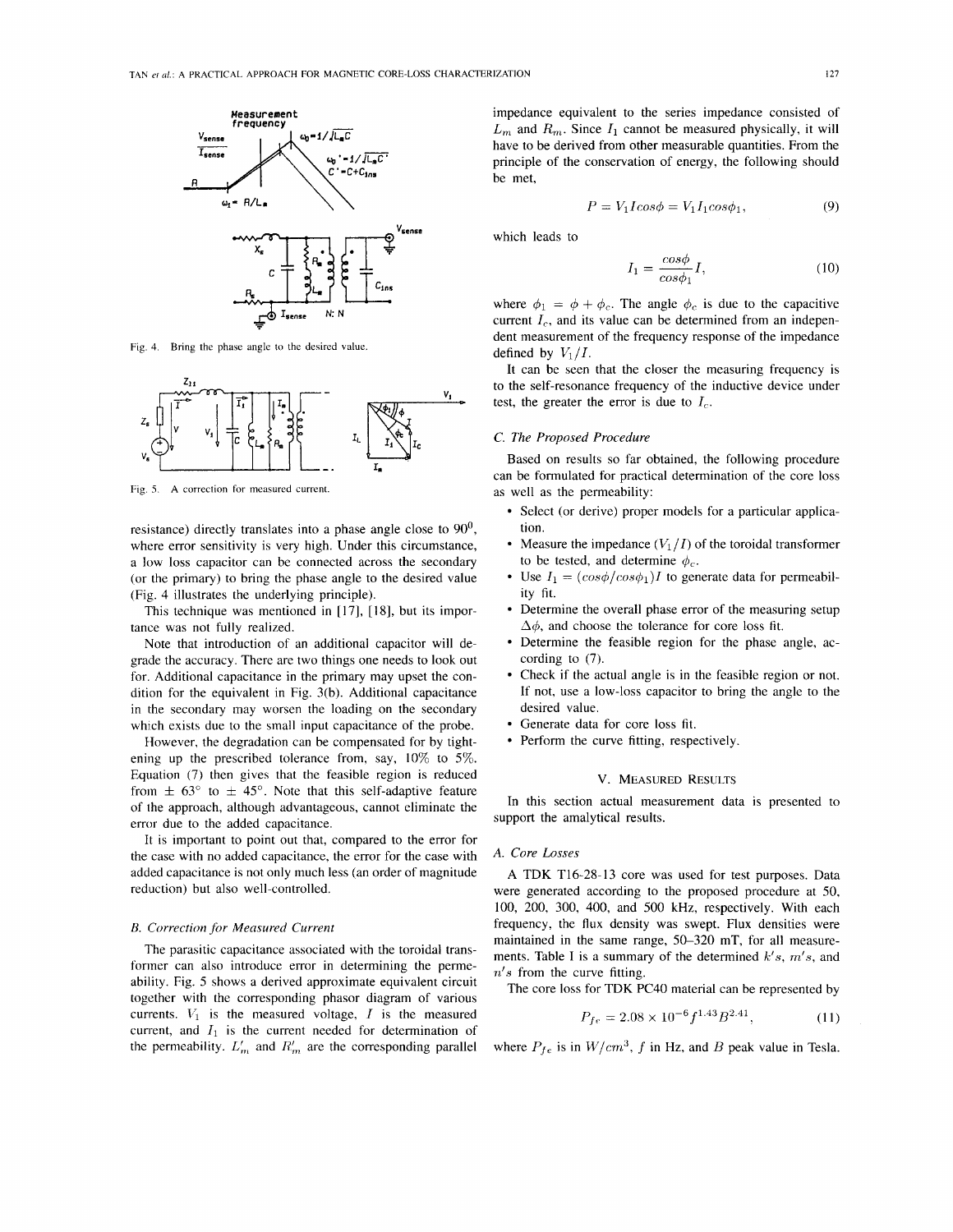

Fig. 4. Bring the phase angle to the desired value.



Fig. 5. **A** correction for measured current

resistance) directly translates into a phase angle close to 90°, where error sensitivity is very high. Under this circumstance, a low loss capacitor can be connected across the secondary (or the primary) to bring the phase angle to the desired value (Fig. 4 illustrates the underlying principle).

This technique was mentioned in [17], [18], but its importance was not fully realized.

Note that introduction of an additional capacitor will degrade the accuracy. There are two things one needs to look out for. Additional capacitance in the primary may upset the condition for the equivalent in Fig. 3(b). Additional capacitance in the secondary may worsen the loading on the secondary which exists due to the small input capacitance of the probe.

However, the degradation can be compensated for by tightening up the prescribed tolerance from, say, 10% to *5%.*  Equation (7) then gives that the feasible region is reduced from  $\pm$  63° to  $\pm$  45°. Note that this self-adaptive feature of the approach, although advantageous, cannot eliminate the error due to the added Capacitance.

It is important to point out that, compared to the error for the case with no added capacitance, the error for the case with added capacitance is not only much less (an order of magnitude reduction) but also well-controlled.

# *B. Correction for Measured Current*

The parasitic capacitance associated with the toroidal transformer can also introduce error in determining the permeability. Fig. *5* shows a derived approximate equivalent circuit together with the corresponding phasor diagram of various currents.  $V_1$  is the measured voltage,  $I$  is the measured current, and  $I_1$  is the current needed for determination of the permeability.  $L'_m$  and  $R'_m$  are the corresponding parallel impedance equivalent to the series impedance consisted of  $L_m$  and  $R_m$ . Since  $I_1$  cannot be measured physically, it will have to be derived from other measurable quantities. From the principle of the conservation of energy, the following should be met,

$$
P = V_1 I cos \phi = V_1 I_1 cos \phi_1, \qquad (9)
$$

which leads to

$$
I_1 = \frac{\cos \phi}{\cos \phi_1} I,\tag{10}
$$

where  $\phi_1 = \phi + \phi_c$ . The angle  $\phi_c$  is due to the capacitive current  $I_c$ , and its value can be determined from an independent measurement of the frequency response of the impedance defined by  $V_1/I$ .

It can be seen that the closer the measuring frequency is to the self-resonance frequency of the inductive device under test, the greater the error is due to  $I_c$ .

## *C. The Proposed Procedure*

Based on results so far obtained, the following procedure can be formulated for practical determination of the core loss as well as the permeability:

- Select (or derive) proper models for a particular application.
- Measure the impedance  $(V_1/I)$  of the toroidal transformer to be tested, and determine  $\phi_c$ .
- Use  $I_1 = (cos\phi/cos\phi_1)I$  to generate data for permeability fit.
- Determine the overall phase error of the measuring setup  $\Delta\phi$ , and choose the tolerance for core loss fit.
- Determine the feasible region for the phase angle, according to (7).
- Check if the actual angle is in the feasible region or not. **If** not, use a low-loss capacitor to bring the angle to the desired value.
- Generate data for core loss fit.
- Perform the curve fitting, respectively.

## V. **MEASURED RESULTS**

In this section actual measurement data is presented to support the amalytical results.

#### *A. Core Losses*

A TDK T16-28-13 core was used for test purposes. Data were generated according to the proposed procedure at SO, 100, 200, 300, 400, and 500 kHz, respectively. With each frequency, the flux density was swept. Flux densities were maintained in the same range, SO-320 mT, for all measurements. Table I is a summary of the determined  $k's$ ,  $m's$ , and  $n's$  from the curve fitting.

The core loss for TDK PC40 material can be represented by

$$
P_{fe} = 2.08 \times 10^{-6} f^{1.43} B^{2.41},\tag{11}
$$

where  $P_{fe}$  is in  $W/cm^3$ , f in Hz, and B peak value in Tesla.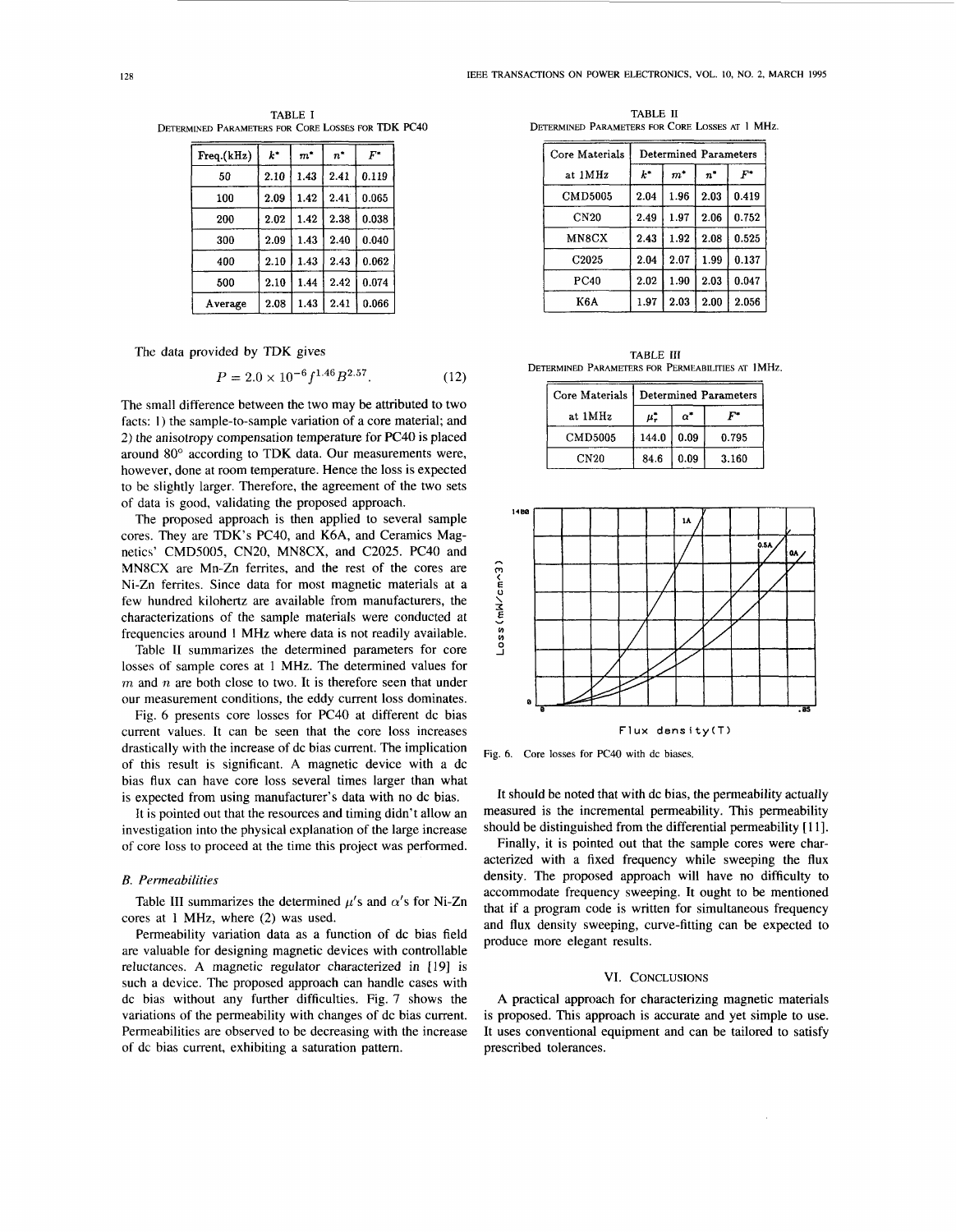TABLE I DETERMINED PARAMETERS FOR CORE **LOSSES** FOR **TDK PC40** 

| Freq.(kHz) | $k^*$ | $m^*$ | $n^*$ | $F^*$ |
|------------|-------|-------|-------|-------|
| 50         | 2.10  | 1.43  | 2.41  | 0.119 |
| 100        | 2.09  | 1.42  | 2.41  | 0.065 |
| 200        | 2.02  | 1.42  | 2.38  | 0.038 |
| 300        | 2.09  | 1.43  | 2.40  | 0.040 |
| 400        | 2.10  | 1.43  | 2.43  | 0.062 |
| 500        | 2.10  | 1.44  | 2.42  | 0.074 |
| Average    | 2.08  | 1.43  | 2.41  | 0.066 |

The data provided by TDK gives

$$
P = 2.0 \times 10^{-6} f^{1.46} B^{2.57}.
$$
 (12)

The small difference between the two may be attributed to two facts: **1)** the sample-to-sample variation of a core material; and 2) the anisotropy compensation temperature for PC40 is placed around 80° according to TDK data. Our measurements were, however, done at room temperature. Hence the loss is expected to be slightly larger. Therefore, the agreement of the two sets of data is good, validating the proposed approach.

The proposed approach is then applied to several sample cores. They are TDK's PC40, and K6A, and Ceramics Magnetics' CMD5005, CN20, MN8CX, and C2025. PC40 and MN8CX are Mn-Zn ferrites, and the rest of the cores are Ni-Zn ferrites. Since data for most magnetic materials at a few hundred kilohertz are available from manufacturers, the characterizations of the sample materials were conducted at frequencies around 1 MHz where data is not readily available.

Table I1 summarizes the determined parameters for core losses of sample cores at 1 MHz. The determined values for  $m$  and  $n$  are both close to two. It is therefore seen that under our measurement conditions, the eddy current loss dominates.

Fig. **6** presents core losses for PC40 at different dc bias current values. It can be seen that the core loss increases drastically with the increase of dc bias current. The implication of this result is significant. A magnetic device with a dc bias flux can have core loss several times larger than what is expected from using manufacturer's data with no dc bias.

It is pointed out that the resources and timing didn't allow an investigation into the physical explanation of the large increase of core loss to proceed at the time this project was performed.

# *B. Permeabilities*

Table III summarizes the determined  $\mu$ 's and  $\alpha$ 's for Ni-Zn cores at 1 MHz, where (2) was used.

Permeability variation data as a function of dc bias field are valuable for designing magnetic devices with controllable reluctances. A magnetic regulator characterized in [19] is such a device. The proposed approach can handle cases with dc bias without any further difficulties. Fig. 7 shows the variations of the permeability with changes of dc bias current. Permeabilities are observed to be decreasing with the increase of dc bias current, exhibiting a saturation pattern.

TABLE **I1**  DETERMINED PARAMETERS FOR CORE **LOSSES** AT 1 **MHZ.** 

| Core Materials    | <b>Determined Parameters</b> |                    |       |       |  |
|-------------------|------------------------------|--------------------|-------|-------|--|
| at 1MHz           | $k^*$                        | $\boldsymbol{m}^*$ | $n^*$ | $F^*$ |  |
| <b>CMD5005</b>    | 2.04                         | 1.96               | 2.03  | 0.419 |  |
| CN20              | 2.49                         | 1.97               | 2.06  | 0.752 |  |
| MN8CX             | 2.43                         | 1.92               | 2.08  | 0.525 |  |
| C <sub>2025</sub> | 2.04                         | 2.07               | 1.99  | 0.137 |  |
| PC40              | 2.02                         | 1.90               | 2.03  | 0.047 |  |
| K6A               | 1.97                         | 2.03               | 2.00  | 2.056 |  |

TABLE III DETERMINED PARAMETERS FOR PERMEABILITIES AT 1MHz.

| Core Materials |              |            | Determined Parameters |  |
|----------------|--------------|------------|-----------------------|--|
| at 1MHz        | μ.           | $\alpha^*$ | г.                    |  |
| <b>CMD5005</b> | $144.0$ 0.09 |            | 0.795                 |  |
| CN 20          | 84.6         | 0.09       | 3.160                 |  |



**Fig. 6.** Core losses **for** PC40 with dc **biases.** 

It should be noted that with dc bias, the permeability actually measured is the incremental permeability. This permeability should be distinguished from the differential permeability [11].

Finally, it is pointed out that the sample cores were characterized with a fixed frequency while sweeping the flux density. The proposed approach will have no difficulty to accommodate frequency sweeping. **It** ought to be mentioned that if a program code is written for simultaneous frequency and flux density sweeping, curve-fitting can be expected to produce more elegant results.

# VI. CONCLUSIONS

A practical approach for characterizing magnetic materials is proposed. This approach is accurate and yet simple to use. It uses conventional equipment and can be tailored to satisfy prescribed tolerances.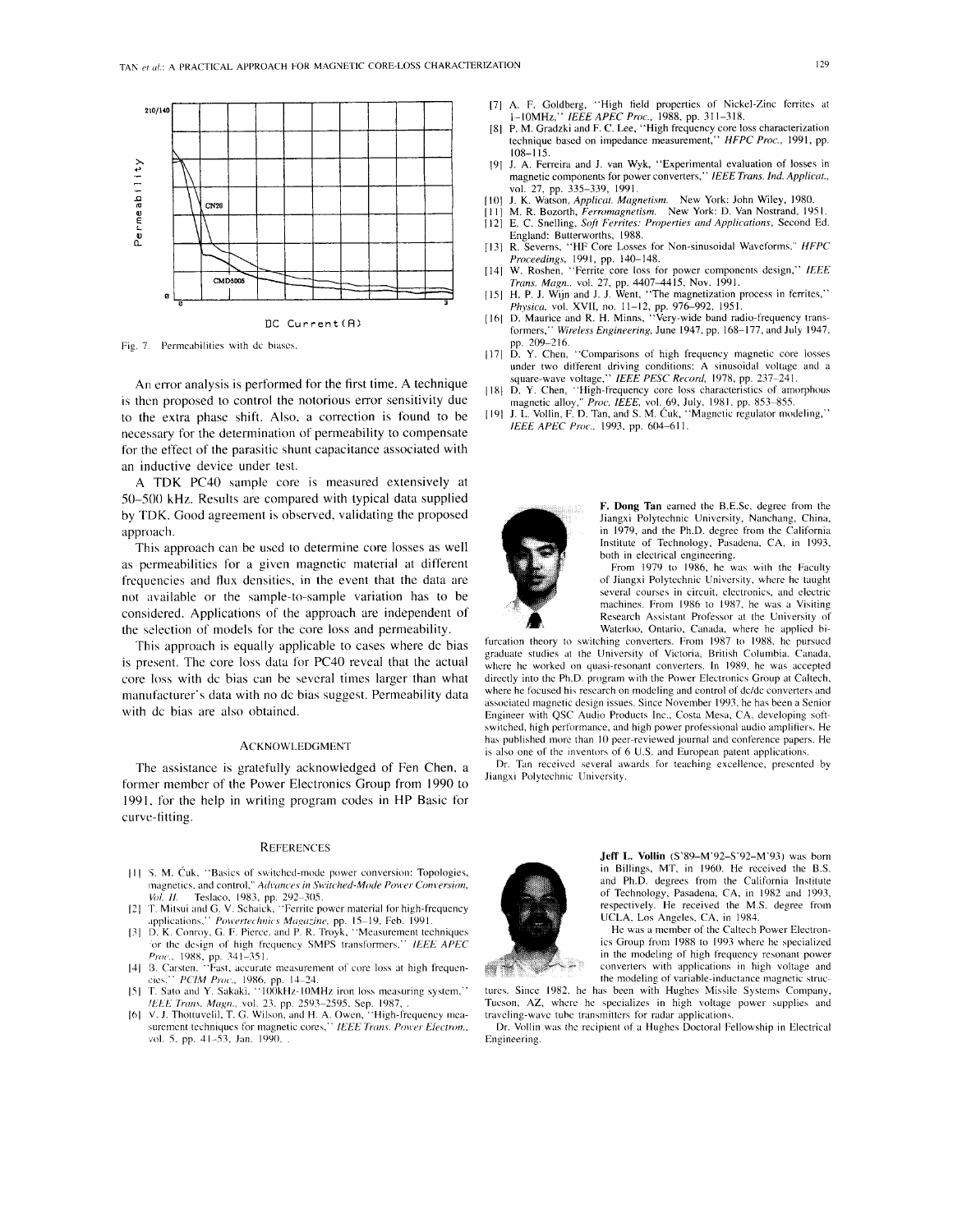

Fig. 7. Permeabilities with dc biases.

An error analysis is performed for the first time. A technique is then proposed to control the notorious error sensitivity due to the extra phase shift. Also, a correction is found to be necessary for the determination of permeability to compensate for the effect of the parasitic shunt capacitance associated with an inductive device under test.

**A** TDK PC4O sample core is measured extensively at *SO-SO0* kHz. Results are compared with typical data supplied by TDK. Good agreement is observed. validating the proposed approach.

This approach can be used to determine core losses as well as permeabilitics for a given magnetic material at different frequencies and flux densities, in the event that the data are not available or the sample-to-sample variation has to be considered. Applications of the approach are independent of the selection of models for the core loss and permeability.

This approach is equally applicable to cases where dc bias is present. The core loss data for PC40 reveal that the actual core loss with dc bias can be several times larger than what manufacturer's data with no dc bias suggest. Permeability data with dc bias are also obtaincd.

### ACKNOWLEDGMENT

The assistance is gratefully acknowledged of Fen Chen. a former member of the Power Electronics Group from 1990 to 1991, for the help in writing program codes in HP Basic for curve-fitting.

## **REFERENCES**

- 111 S. M. Ćuk, "Basics of switched-mode power conversion: Topologies, magnetics, and control," *Advances in Switched-Mode Power Conversion,*
- *Vol. H.* Teslaco, 1983, pp. 292-305.<br>[2] T. Mitsui and G. V. Schaick, "Ferrite power material for high-frequency applications," *Powertechnics Magazine*, pp. 15-19, Feb. 1991.<br>[3] D. K. Conroy, G. F. Pierce. and P. R. Troyk, "Measurement techniques
- Or thc dc\ign **of** high frequcncy SMPS transformer\." *lEEE APEC*
- *Proc.*, 1988, pp. 341-351.<br>
[4] B. Carsten. "Fast, accurate measurement of core loss at high frequencies," *PCIM Proc.*, 1986, pp. 14-24. 141 b. can see the case of the *Proc.*, 1986, pp. 14–24.<br> **151 T.** Sato and Y. Sakaki, "100kHz-10MHz iron loss measuring system,"
- *JEEE Trans. Magn.*, vol. 23. pp. 2593-2595. Sep. 1987, .<br>[6] V. J. Thottuvelil, T. G. Wilson, and H. A. Owen, "High-frequency mea-
- surement techniques for magnetic cores," *IEEE Trans. Power Electron.*, [vol.](#page-6-0) 5, pp. 41-53, Jan. 1990. .
- 171 **A.** F. Goldberg, "High tield properties of Nickel-Zinc ferrites at 1-IOMHz," */EEE APEC Proc..* **1988,** pp. 31 **1-318.**
- **181** P. **M.** Gradzki and F. C. Lee, "High frequency core loss characterization technique based on impedance measurement," *HFPC Proc.,* 1991, pp. **108-115.**
- 191 J. **A.** Ferreira and **J.** van Wyk, "Experimental evaluation of losses in magnetic components for power converters," *IEEE Trans. Ind. Applicat.*, vol. 27, pp. 335-339, 1991.
- 
- **[IO]** J. **K.** Watson, *Applicat. Magneti.\m.*  New York: John Wiley, 1980. [ I **1** ] M. R. Bozorth, *Ferronzagnetism.* New York: D. Van Nostrand, I95 I.
- [ 121 E. C. Snelling, *Sofl Ferrires: Properties and Applications.* Second Ed. [I31 R. Severns, "HF Core Losses for Non-sinusoidal Waveforms." *HFPC 0* England: Butterworths, 1988.
- *Proceedings*, 1991, pp. 140-148.<br>
[14] W. Roshen, "Ferrite core loss for power components design," *IEEE*
- *Trans. Magn..* vol. 27, pp. 4407-4415, Nov. 1991.<br>[15] H. P. J. Wijn and J. J. Went, "The magnetization process in ferrites,"
- *Physica.* vol. XVII, no. 11-12, **pp.** 976992, 1951.
- [16] D. Maurice and R. H. Minns, "Very-wide band radio-frequency transformers," *Wireless Engineering,* June 1947, pp. 168-177, and July 1947. Frances. Write the Lagrange errors of high frequency magnetic core losses [17] D. Y. Chen, "Comparisons of high frequency magnetic core losses
- under two different driving conditions: A sinusoidal voltage and a square-wave voltage," *IEEE PESC Record*, 1978, pp. 237-241.<br>[18] D. Y. Chen, "High-frequency core loss characteristics of amorphous
- magnetic alloy," *Proc. IEEE*, vol. 69, July, 1981, pp. 853-855.<br>[19] J. L. Vollin, F. D. Tan, and S. M. Cuk, "Magnetic regulator modeling,"
- *IEEE APEC Proc.,* 1993. pp. 604-61 I,



**F. Dong Tan** earned the B.E.Sc. degree from the Jiangxi Polytechnic University, Nanchang, China, in 1979, and the Ph.D. dcgrec from the California Institute of Technology, Pasadena, CA, in 1993, both in electrical engineering.

From 1979 to 1986, he was with the Faculty of Jiangxi Polytechnic University, where hc taught several courses in circuit, electronics, and electric machines. From 1986 to 1987, he was a Visiting Research Assistant Professor at the University of Waterloo, Ontario, Canada, where he applied hi-

furcation theory to switching converters. From 1087 **to** 1988, he pursucd graduate studies at the University of Victoria, British Columbia. Canada, where he worked on quasi-resonant converters. In 1989. he was accepted directly into the Ph.D. program with the Power Electronics Group at Caltech, where he focused his research on modeling and control of dc/dc converters and associated magnetic design issues. Since November 1993. he has been a Senior Engineer with QSC Audio Products Inc., Costa **Mesa,** C4. developing softswitched, high performance, and high power professional audio amplifiers. He has published more than **IO** peer-reviewed journal and conference papers. He is also one of the inventors of  $6$  U.S. and European patent applications.

Dr. Tan received several awards for teaching excellence, presented by Jiangxi Polytechnic University.



**Jeff L. Vollin**  $(S'89-M'92-S'92-M'93)$  **was born** in Billings, MT, in 1960. He received the B.S. and Ph.D. degrees from the California Institute of Technology, Pasadena, CA, **in** 1982 and 1991. respectively. He received the M.S. degree from UCLA, Los Angeles, CA, in 1984.

He was a member of the Caltech Power Electronics Group from 1988 to 1993 where he specialized in the modeling of high frequency resonant power converters with applications in high voltage and the modeling of variable-inductance magnetic struc-

tures. Since 1982, he has been with Hughes Missile Systems Company, Tucson, AZ, where he specializes in high voltage power supplies and traveling-wave tube transmitters for radar applications.

Dr. Vollin was the recipient of a Hughes Doctoral Fellowship in Electrical Engineering